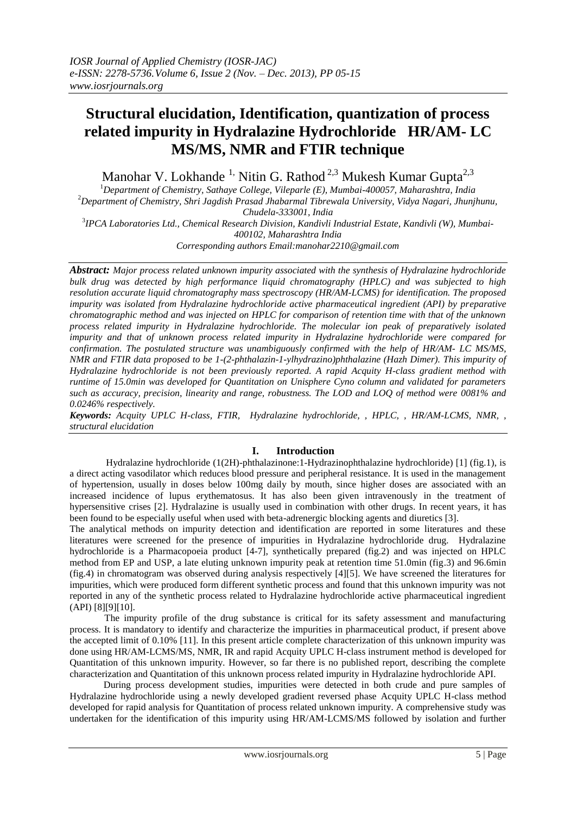# **Structural elucidation, Identification, quantization of process related impurity in Hydralazine Hydrochloride HR/AM- LC MS/MS, NMR and FTIR technique**

Manohar V. Lokhande <sup>1,</sup> Nitin G. Rathod <sup>2,3</sup> Mukesh Kumar Gupta<sup>2,3</sup>

<sup>1</sup>*Department of Chemistry, Sathaye College, Vileparle (E), Mumbai-400057, Maharashtra, India* <sup>2</sup>*Department of Chemistry, Shri Jagdish Prasad Jhabarmal Tibrewala University, Vidya Nagari, Jhunjhunu, Chudela-333001, India* 3 *IPCA Laboratories Ltd., Chemical Research Division, Kandivli Industrial Estate, Kandivli (W), Mumbai-400102, Maharashtra India*

*Corresponding authors Email:manohar2210@gmail.com*

*Abstract: Major process related unknown impurity associated with the synthesis of Hydralazine hydrochloride bulk drug was detected by high performance liquid chromatography (HPLC) and was subjected to high resolution accurate liquid chromatography mass spectroscopy (HR/AM-LCMS) for identification. The proposed impurity was isolated from Hydralazine hydrochloride active pharmaceutical ingredient (API) by preparative chromatographic method and was injected on HPLC for comparison of retention time with that of the unknown process related impurity in Hydralazine hydrochloride. The molecular ion peak of preparatively isolated impurity and that of unknown process related impurity in Hydralazine hydrochloride were compared for confirmation. The postulated structure was unambiguously confirmed with the help of HR/AM- LC MS/MS, NMR and FTIR data proposed to be 1-(2-phthalazin-1-ylhydrazino)phthalazine (Hazh Dimer). This impurity of Hydralazine hydrochloride is not been previously reported. A rapid Acquity H-class gradient method with runtime of 15.0min was developed for Quantitation on Unisphere Cyno column and validated for parameters such as accuracy, precision, linearity and range, robustness. The LOD and LOQ of method were 0081% and 0.0246% respectively.*

*Keywords: Acquity UPLC H-class, FTIR, Hydralazine hydrochloride, , HPLC, , HR/AM-LCMS, NMR, , structural elucidation*

## **I. Introduction**

Hydralazine hydrochloride (1(2H)-phthalazinone:1-Hydrazinophthalazine hydrochloride) [1] (fig.1), is a direct acting vasodilator which reduces blood pressure and peripheral resistance. It is used in the management of hypertension, usually in doses below 100mg daily by mouth, since higher doses are associated with an increased incidence of lupus erythematosus. It has also been given intravenously in the treatment of hypersensitive crises [2]. Hydralazine is usually used in combination with other drugs. In recent years, it has been found to be especially useful when used with beta-adrenergic blocking agents and diuretics [3].

The analytical methods on impurity detection and identification are reported in some literatures and these literatures were screened for the presence of impurities in Hydralazine hydrochloride drug. Hydralazine hydrochloride is a Pharmacopoeia product [4-7], synthetically prepared (fig.2) and was injected on HPLC method from EP and USP, a late eluting unknown impurity peak at retention time 51.0min (fig.3) and 96.6min (fig.4) in chromatogram was observed during analysis respectively [4][5]. We have screened the literatures for impurities, which were produced form different synthetic process and found that this unknown impurity was not reported in any of the synthetic process related to Hydralazine hydrochloride active pharmaceutical ingredient (API) [8][9][10].

The impurity profile of the drug substance is critical for its safety assessment and manufacturing process. It is mandatory to identify and characterize the impurities in pharmaceutical product, if present above the accepted limit of 0.10% [11]. In this present article complete characterization of this unknown impurity was done using HR/AM-LCMS/MS, NMR, IR and rapid Acquity UPLC H-class instrument method is developed for Quantitation of this unknown impurity. However, so far there is no published report, describing the complete characterization and Quantitation of this unknown process related impurity in Hydralazine hydrochloride API.

 During process development studies, impurities were detected in both crude and pure samples of Hydralazine hydrochloride using a newly developed gradient reversed phase Acquity UPLC H-class method developed for rapid analysis for Quantitation of process related unknown impurity. A comprehensive study was undertaken for the identification of this impurity using HR/AM-LCMS/MS followed by isolation and further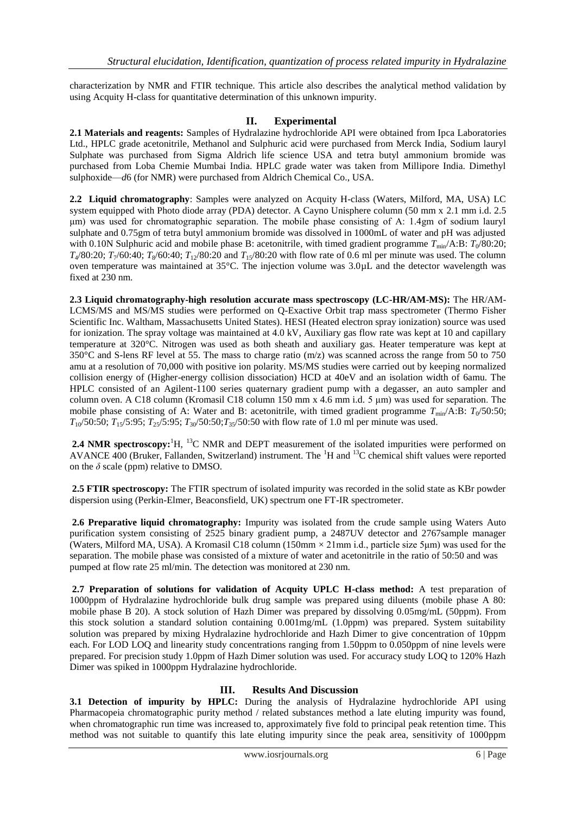characterization by NMR and FTIR technique. This article also describes the analytical method validation by using Acquity H-class for quantitative determination of this unknown impurity.

### **II. Experimental**

**2.1 Materials and reagents:** Samples of Hydralazine hydrochloride API were obtained from Ipca Laboratories Ltd., HPLC grade acetonitrile, Methanol and Sulphuric acid were purchased from Merck India, Sodium lauryl Sulphate was purchased from Sigma Aldrich life science USA and tetra butyl ammonium bromide was purchased from Loba Chemie Mumbai India. HPLC grade water was taken from Millipore India. Dimethyl sulphoxide—*d*6 (for NMR) were purchased from Aldrich Chemical Co., USA.

**2.2 Liquid chromatography**: Samples were analyzed on Acquity H-class (Waters, Milford, MA, USA) LC system equipped with Photo diode array (PDA) detector. A Cayno Unisphere column (50 mm x 2.1 mm i.d. 2.5 μm) was used for chromatographic separation. The mobile phase consisting of A: 1.4gm of sodium lauryl sulphate and 0.75gm of tetra butyl ammonium bromide was dissolved in 1000mL of water and pH was adjusted with 0.10N Sulphuric acid and mobile phase B: acetonitrile, with timed gradient programme  $T_{min}/A:B: T_0/80:20;$  $T_4/80:20$ ;  $T_7/60:40$ ;  $T_8/60:40$ ;  $T_{12}/80:20$  and  $T_{15}/80:20$  with flow rate of 0.6 ml per minute was used. The column oven temperature was maintained at 35°C. The injection volume was 3.0µL and the detector wavelength was fixed at 230 nm.

**2.3 Liquid chromatography-high resolution accurate mass spectroscopy (LC-HR/AM-MS):** The HR/AM-LCMS/MS and MS/MS studies were performed on Q-Exactive Orbit trap mass spectrometer (Thermo Fisher Scientific Inc. Waltham, Massachusetts United States). HESI (Heated electron spray ionization) source was used for ionization. The spray voltage was maintained at 4.0 kV, Auxiliary gas flow rate was kept at 10 and capillary temperature at 320°C. Nitrogen was used as both sheath and auxiliary gas. Heater temperature was kept at 350°C and S-lens RF level at 55. The mass to charge ratio (m/z) was scanned across the range from 50 to 750 amu at a resolution of 70,000 with positive ion polarity. MS/MS studies were carried out by keeping normalized collision energy of (Higher-energy collision dissociation) HCD at 40eV and an isolation width of 6amu. The HPLC consisted of an Agilent-1100 series quaternary gradient pump with a degasser, an auto sampler and column oven. A C18 column (Kromasil C18 column 150 mm x 4.6 mm i.d. 5 μm) was used for separation. The mobile phase consisting of A: Water and B: acetonitrile, with timed gradient programme  $T_{min}/A:B$ :  $T_0/50:50$ ;  $T_{10}/50:50$ ;  $T_{15}/5:95$ ;  $T_{25}/5:95$ ;  $T_{30}/50:50$ ;  $T_{35}/50:50$  with flow rate of 1.0 ml per minute was used.

2.4 NMR spectroscopy:<sup>1</sup>H, <sup>13</sup>C NMR and DEPT measurement of the isolated impurities were performed on AVANCE 400 (Bruker, Fallanden, Switzerland) instrument. The <sup>1</sup>H and <sup>13</sup>C chemical shift values were reported on the  $\delta$  scale (ppm) relative to DMSO.

**2.5 FTIR spectroscopy:** The FTIR spectrum of isolated impurity was recorded in the solid state as KBr powder dispersion using (Perkin-Elmer, Beaconsfield, UK) spectrum one FT-IR spectrometer.

**2.6 Preparative liquid chromatography:** Impurity was isolated from the crude sample using Waters Auto purification system consisting of 2525 binary gradient pump, a 2487UV detector and 2767sample manager (Waters, Milford MA, USA). A Kromasil C18 column (150mm  $\times$  21mm i.d., particle size 5µm) was used for the separation. The mobile phase was consisted of a mixture of water and acetonitrile in the ratio of 50:50 and was pumped at flow rate 25 ml/min. The detection was monitored at 230 nm.

**2.7 Preparation of solutions for validation of Acquity UPLC H-class method:** A test preparation of 1000ppm of Hydralazine hydrochloride bulk drug sample was prepared using diluents (mobile phase A 80: mobile phase B 20). A stock solution of Hazh Dimer was prepared by dissolving 0.05mg/mL (50ppm). From this stock solution a standard solution containing 0.001mg/mL (1.0ppm) was prepared. System suitability solution was prepared by mixing Hydralazine hydrochloride and Hazh Dimer to give concentration of 10ppm each. For LOD LOQ and linearity study concentrations ranging from 1.50ppm to 0.050ppm of nine levels were prepared. For precision study 1.0ppm of Hazh Dimer solution was used. For accuracy study LOQ to 120% Hazh Dimer was spiked in 1000ppm Hydralazine hydrochloride.

#### **III. Results And Discussion**

**3.1 Detection of impurity by HPLC:** During the analysis of Hydralazine hydrochloride API using Pharmacopeia chromatographic purity method / related substances method a late eluting impurity was found, when chromatographic run time was increased to, approximately five fold to principal peak retention time. This method was not suitable to quantify this late eluting impurity since the peak area, sensitivity of 1000ppm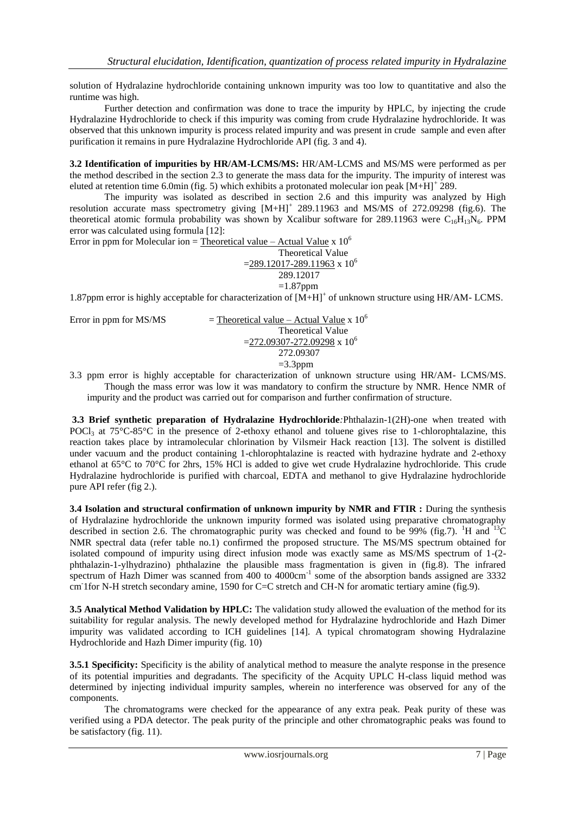solution of Hydralazine hydrochloride containing unknown impurity was too low to quantitative and also the runtime was high.

Further detection and confirmation was done to trace the impurity by HPLC, by injecting the crude Hydralazine Hydrochloride to check if this impurity was coming from crude Hydralazine hydrochloride. It was observed that this unknown impurity is process related impurity and was present in crude sample and even after purification it remains in pure Hydralazine Hydrochloride API (fig. 3 and 4).

**3.2 Identification of impurities by HR/AM-LCMS/MS:** HR/AM-LCMS and MS/MS were performed as per the method described in the section 2.3 to generate the mass data for the impurity. The impurity of interest was eluted at retention time 6.0min (fig. 5) which exhibits a protonated molecular ion peak  $[M+H]^2$  289.

The impurity was isolated as described in section 2.6 and this impurity was analyzed by High resolution accurate mass spectrometry giving  $[M+H]^+$  289.11963 and MS/MS of 272.09298 (fig.6). The theoretical atomic formula probability was shown by Xcalibur software for 289.11963 were  $C_{16}H_{13}N_6$ . PPM error was calculated using formula [12]:

Error in ppm for Molecular ion = Theoretical value – Actual Value x  $10^6$ 

Theoretical Value  $=$ 289.12017-289.11963 x 10<sup>6</sup> 289.12017  $=1.87$ ppm

1.87ppm error is highly acceptable for characterization of  $\widehat{[M+H]}^+$  of unknown structure using HR/AM-LCMS.

| Error in ppm for MS/MS | = Theoretical value – Actual Value x $10^6$                                        |
|------------------------|------------------------------------------------------------------------------------|
|                        | <b>Theoretical Value</b>                                                           |
|                        | $=$ 272.09307-272.09298 x 10 <sup>6</sup>                                          |
|                        | 272.09307                                                                          |
|                        | $=3.3$ ppm                                                                         |
|                        | 2.2. mars camera la biable, concentrable from changestrations of continuous states |

3.3 ppm error is highly acceptable for characterization of unknown structure using HR/AM- LCMS/MS. Though the mass error was low it was mandatory to confirm the structure by NMR. Hence NMR of impurity and the product was carried out for comparison and further confirmation of structure.

**3.3 Brief synthetic preparation of Hydralazine Hydrochloride***:*Phthalazin-1(2H)-one when treated with POCl<sub>3</sub> at  $75^{\circ}$ C-85<sup> $\circ$ </sup>C in the presence of 2-ethoxy ethanol and toluene gives rise to 1-chlorophtalazine, this reaction takes place by intramolecular chlorination by Vilsmeir Hack reaction [13]. The solvent is distilled under vacuum and the product containing 1-chlorophtalazine is reacted with hydrazine hydrate and 2-ethoxy ethanol at 65°C to 70°C for 2hrs, 15% HCl is added to give wet crude Hydralazine hydrochloride. This crude Hydralazine hydrochloride is purified with charcoal, EDTA and methanol to give Hydralazine hydrochloride pure API refer (fig 2.).

**3.4 Isolation and structural confirmation of unknown impurity by NMR and FTIR :** During the synthesis of Hydralazine hydrochloride the unknown impurity formed was isolated using preparative chromatography described in section 2.6. The chromatographic purity was checked and found to be 99% (fig.7). <sup>1</sup>H and <sup>13</sup>C NMR spectral data (refer table no.1) confirmed the proposed structure. The MS/MS spectrum obtained for isolated compound of impurity using direct infusion mode was exactly same as MS/MS spectrum of 1-(2 phthalazin-1-ylhydrazino) phthalazine the plausible mass fragmentation is given in (fig.8). The infrared spectrum of Hazh Dimer was scanned from 400 to 4000cm<sup>-1</sup> some of the absorption bands assigned are 3332 cm<sup>-</sup>1for N-H stretch secondary amine, 1590 for C=C stretch and CH-N for aromatic tertiary amine (fig.9).

**3.5 Analytical Method Validation by HPLC:** The validation study allowed the evaluation of the method for its suitability for regular analysis. The newly developed method for Hydralazine hydrochloride and Hazh Dimer impurity was validated according to ICH guidelines [14]. A typical chromatogram showing Hydralazine Hydrochloride and Hazh Dimer impurity (fig. 10)

**3.5.1 Specificity:** Specificity is the ability of analytical method to measure the analyte response in the presence of its potential impurities and degradants. The specificity of the Acquity UPLC H-class liquid method was determined by injecting individual impurity samples, wherein no interference was observed for any of the components.

The chromatograms were checked for the appearance of any extra peak. Peak purity of these was verified using a PDA detector. The peak purity of the principle and other chromatographic peaks was found to be satisfactory (fig. 11).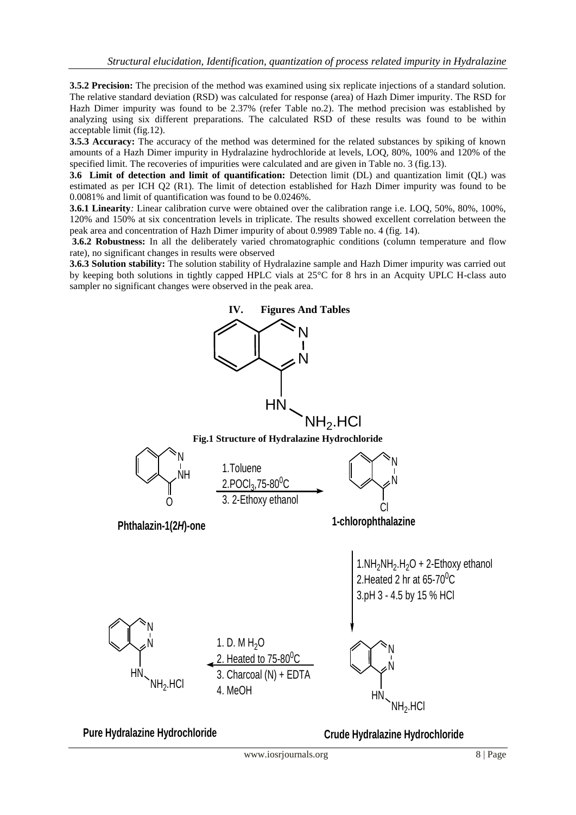**3.5.2 Precision:** The precision of the method was examined using six replicate injections of a standard solution. The relative standard deviation (RSD) was calculated for response (area) of Hazh Dimer impurity. The RSD for Hazh Dimer impurity was found to be 2.37% (refer Table no.2). The method precision was established by analyzing using six different preparations. The calculated RSD of these results was found to be within acceptable limit (fig.12).

**3.5.3 Accuracy:** The accuracy of the method was determined for the related substances by spiking of known amounts of a Hazh Dimer impurity in Hydralazine hydrochloride at levels, LOQ, 80%, 100% and 120% of the specified limit. The recoveries of impurities were calculated and are given in Table no. 3 (fig.13).

**3.6 Limit of detection and limit of quantification:** Detection limit (DL) and quantization limit (QL) was estimated as per ICH Q2 (R1). The limit of detection established for Hazh Dimer impurity was found to be 0.0081% and limit of quantification was found to be 0.0246%.

**3.6.1 Linearity***:* Linear calibration curve were obtained over the calibration range i.e. LOQ, 50%, 80%, 100%, 120% and 150% at six concentration levels in triplicate. The results showed excellent correlation between the peak area and concentration of Hazh Dimer impurity of about 0.9989 Table no. 4 (fig. 14).

**3.6.2 Robustness:** In all the deliberately varied chromatographic conditions (column temperature and flow rate), no significant changes in results were observed

**3.6.3 Solution stability:** The solution stability of Hydralazine sample and Hazh Dimer impurity was carried out by keeping both solutions in tightly capped HPLC vials at 25°C for 8 hrs in an Acquity UPLC H-class auto sampler no significant changes were observed in the peak area.



**Crude Hydralazine Hydrochloride**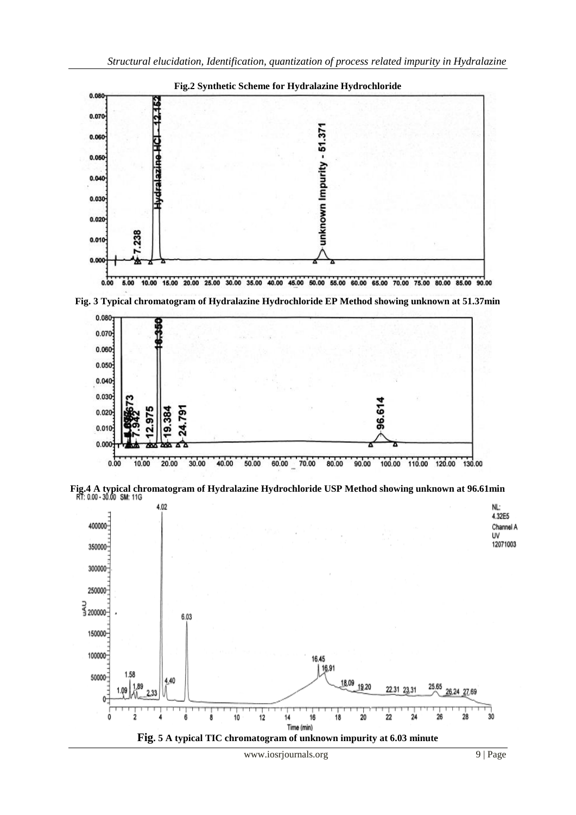

**Fig. 3 Typical chromatogram of Hydralazine Hydrochloride EP Method showing unknown at 51.37min**



**Fig.4 A typical chromatogram of Hydralazine Hydrochloride USP Method showing unknown at 96.61min**

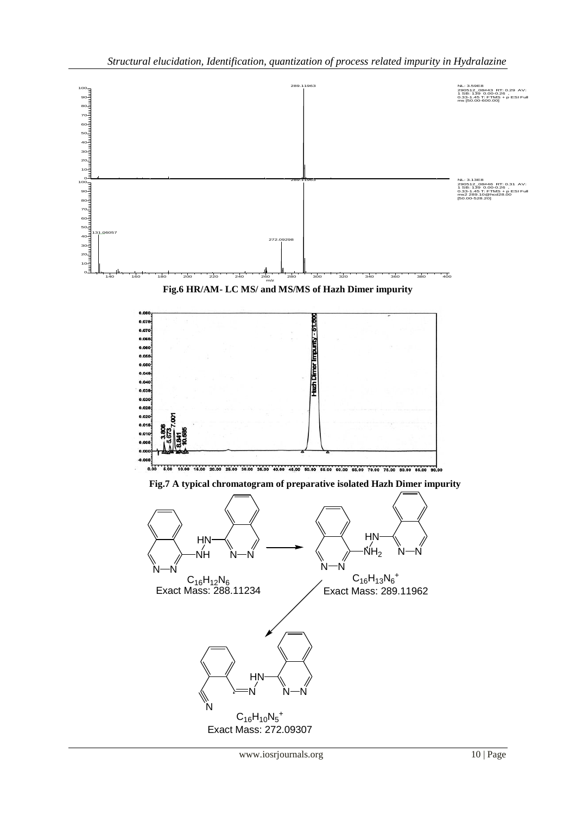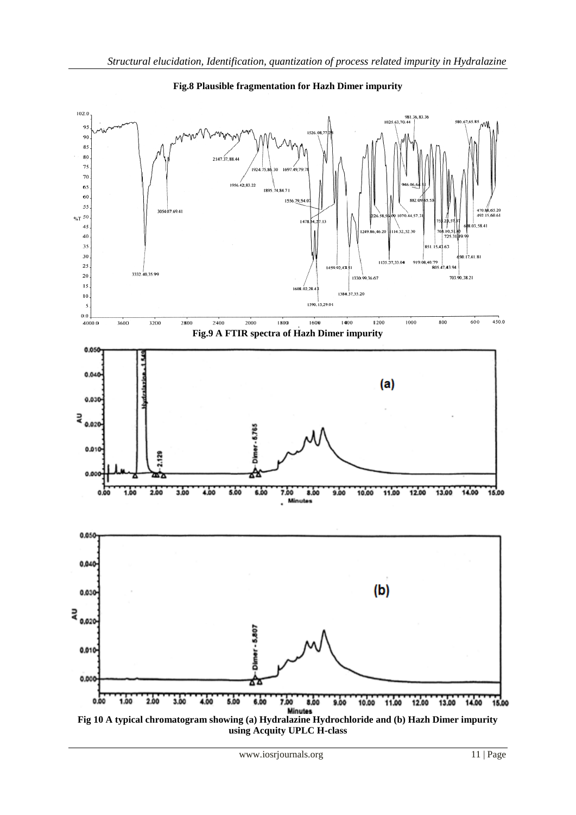

**Fig.8 Plausible fragmentation for Hazh Dimer impurity**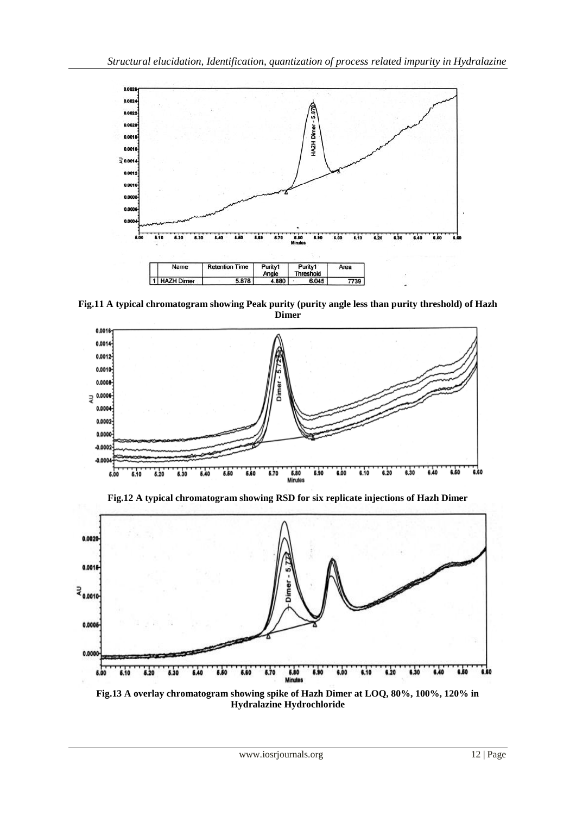

**Fig.11 A typical chromatogram showing Peak purity (purity angle less than purity threshold) of Hazh Dimer**



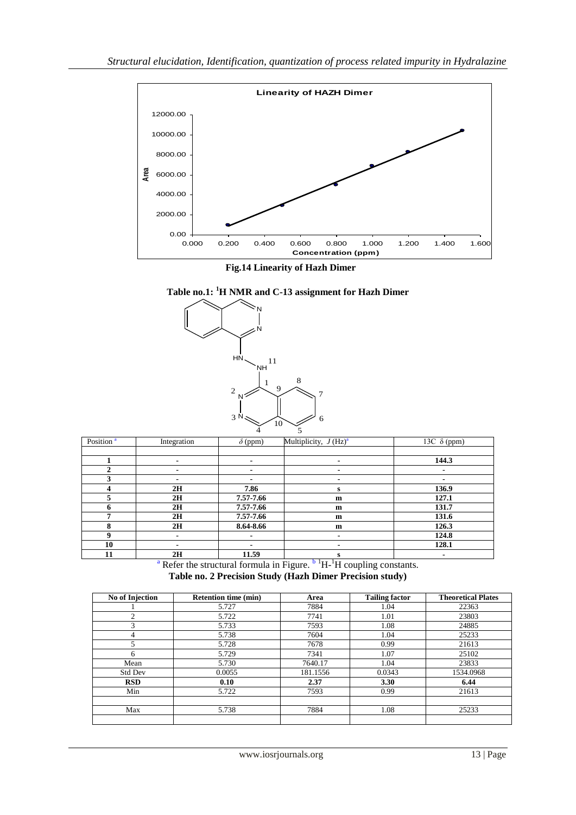

 **Fig.14 Linearity of Hazh Dimer**





| Position <sup>a</sup> | Integration    | $\delta$ (ppm) | Multiplicity, $J(Hz)^a$ | 13C $\delta$ (ppm) |
|-----------------------|----------------|----------------|-------------------------|--------------------|
|                       |                |                |                         |                    |
|                       |                |                | ۰                       | 144.3              |
|                       | ۰              |                |                         | ۰                  |
| 3                     | ۰              |                | $\blacksquare$          | ۰                  |
| 4                     | 2H             | 7.86           | s                       | 136.9              |
| 5                     | 2H             | 7.57-7.66      | m                       | 127.1              |
| 6                     | 2H             | 7.57-7.66      | m                       | 131.7              |
| 7                     | 2H             | 7.57-7.66      | $\mathbf{m}$            | 131.6              |
| 8                     | 2H             | 8.64-8.66      | m                       | 126.3              |
| 9                     | $\blacksquare$ |                | ۰                       | 124.8              |
| 10                    | ۰              |                | $\blacksquare$          | 128.1              |
| 11                    | 2H             | 11.59          | s<br>. .                | ٠                  |

 $a^a$  Refer the structural formula in Figure.  $b^1H^{-1}H$  coupling constants. **Table no. 2 Precision Study (Hazh Dimer Precision study)**

| No of Injection | <b>Retention time (min)</b> | Area     | <b>Tailing factor</b> | <b>Theoretical Plates</b> |
|-----------------|-----------------------------|----------|-----------------------|---------------------------|
|                 | 5.727                       | 7884     | 1.04                  | 22363                     |
| $\overline{c}$  | 5.722                       | 7741     | 1.01                  | 23803                     |
| 3               | 5.733                       | 7593     | 1.08                  | 24885                     |
| 4               | 5.738                       | 7604     | 1.04                  | 25233                     |
|                 | 5.728                       | 7678     | 0.99                  | 21613                     |
| 6               | 5.729                       | 7341     | 1.07                  | 25102                     |
| Mean            | 5.730                       | 7640.17  | 1.04                  | 23833                     |
| <b>Std Dev</b>  | 0.0055                      | 181.1556 | 0.0343                | 1534.0968                 |
| <b>RSD</b>      | 0.10                        | 2.37     | 3.30                  | 6.44                      |
| Min             | 5.722                       | 7593     | 0.99                  | 21613                     |
|                 |                             |          |                       |                           |
| Max             | 5.738                       | 7884     | 1.08                  | 25233                     |
|                 |                             |          |                       |                           |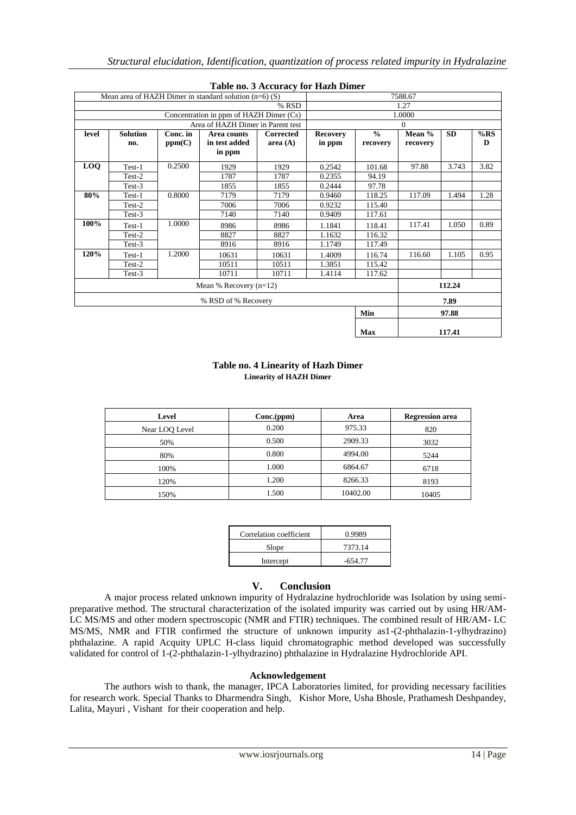|       |                                         |                    | Mean area of HAZH Dimer in standard solution $(n=6)$ (S) | Table not checaracy for Hagh Diffici |                           |                           | 7588.67            |           |          |
|-------|-----------------------------------------|--------------------|----------------------------------------------------------|--------------------------------------|---------------------------|---------------------------|--------------------|-----------|----------|
| % RSD |                                         |                    | 1.27                                                     |                                      |                           |                           |                    |           |          |
|       | Concentration in ppm of HAZH Dimer (Cs) |                    |                                                          | 1.0000                               |                           |                           |                    |           |          |
|       |                                         |                    | Area of HAZH Dimer in Parent test                        |                                      |                           |                           | $\Omega$           |           |          |
| level | <b>Solution</b><br>no.                  | Conc. in<br>ppm(C) | Area counts<br>in test added<br>in ppm                   | <b>Corrected</b><br>area $(A)$       | <b>Recovery</b><br>in ppm | $\frac{0}{0}$<br>recovery | Mean %<br>recovery | <b>SD</b> | %RS<br>D |
| LOO   | Test-1                                  | 0.2500             | 1929                                                     | 1929                                 | 0.2542                    | 101.68                    | 97.88              | 3.743     | 3.82     |
|       | Test-2                                  |                    | 1787                                                     | 1787                                 | 0.2355                    | 94.19                     |                    |           |          |
|       | Test-3                                  |                    | 1855                                                     | 1855                                 | 0.2444                    | 97.78                     |                    |           |          |
| 80%   | Test-1                                  | 0.8000             | 7179                                                     | 7179                                 | 0.9460                    | 118.25                    | 117.09             | 1.494     | 1.28     |
|       | Test-2                                  |                    | 7006                                                     | 7006                                 | 0.9232                    | 115.40                    |                    |           |          |
|       | Test-3                                  |                    | 7140                                                     | 7140                                 | 0.9409                    | 117.61                    |                    |           |          |
| 100%  | Test-1                                  | 1.0000             | 8986                                                     | 8986                                 | 1.1841                    | 118.41                    | 117.41             | 1.050     | 0.89     |
|       | Test-2                                  |                    | 8827                                                     | 8827                                 | 1.1632                    | 116.32                    |                    |           |          |
|       | Test-3                                  |                    | 8916                                                     | 8916                                 | 1.1749                    | 117.49                    |                    |           |          |
| 120%  | Test-1                                  | 1.2000             | 10631                                                    | 10631                                | 1.4009                    | 116.74                    | 116.60             | 1.105     | 0.95     |
|       | Test-2                                  |                    | 10511                                                    | 10511                                | 1.3851                    | 115.42                    |                    |           |          |
|       | Test-3                                  |                    | 10711                                                    | 10711                                | 1.4114                    | 117.62                    |                    |           |          |
|       |                                         |                    | Mean % Recovery $(n=12)$                                 |                                      |                           |                           |                    | 112.24    |          |
|       |                                         |                    | % RSD of % Recovery                                      |                                      |                           |                           |                    | 7.89      |          |
|       |                                         |                    |                                                          |                                      |                           | Min                       |                    | 97.88     |          |
|       |                                         |                    |                                                          |                                      |                           | <b>Max</b>                |                    | 117.41    |          |

#### **Table no. 3 Accuracy for Hazh Dimer**

#### **Table no. 4 Linearity of Hazh Dimer Linearity of HAZH Dimer**

| Level          | Conc (ppm) | Area     | <b>Regression</b> area |
|----------------|------------|----------|------------------------|
| Near LOQ Level | 0.200      | 975.33   | 820                    |
| 50%            | 0.500      | 2909.33  | 3032                   |
| 80%            | 0.800      | 4994.00  | 5244                   |
| 100%           | 1.000      | 6864.67  | 6718                   |
| 120%           | 1.200      | 8266.33  | 8193                   |
| 150%           | 1.500      | 10402.00 | 10405                  |

| Correlation coefficient | 0.9989    |
|-------------------------|-----------|
| Slope                   | 7373.14   |
| Intercept               | $-654.77$ |

#### **V. Conclusion**

A major process related unknown impurity of Hydralazine hydrochloride was Isolation by using semipreparative method. The structural characterization of the isolated impurity was carried out by using HR/AM-LC MS/MS and other modern spectroscopic (NMR and FTIR) techniques. The combined result of HR/AM- LC MS/MS, NMR and FTIR confirmed the structure of unknown impurity as1-(2-phthalazin-1-ylhydrazino) phthalazine. A rapid Acquity UPLC H-class liquid chromatographic method developed was successfully validated for control of 1-(2-phthalazin-1-ylhydrazino) phthalazine in Hydralazine Hydrochloride API.

#### **Acknowledgement**

The authors wish to thank, the manager, IPCA Laboratories limited, for providing necessary facilities for research work. Special Thanks to Dharmendra Singh, Kishor More, Usha Bhosle, Prathamesh Deshpandey, Lalita, Mayuri , Vishant for their cooperation and help.